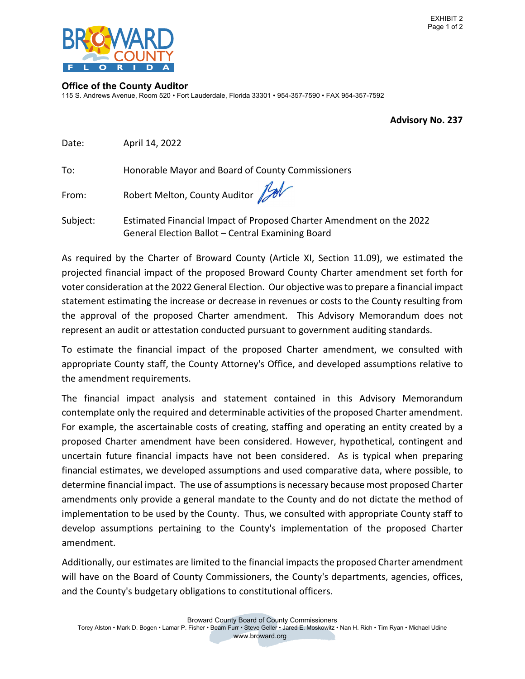

#### **Office of the County Auditor**

115 S. Andrews Avenue, Room 520 • Fort Lauderdale, Florida 33301 • 954-357-7590 • FAX 954-357-7592

 **Advisory No. 237**

| Date:    | April 14, 2022                                                                                                            |
|----------|---------------------------------------------------------------------------------------------------------------------------|
| To:      | Honorable Mayor and Board of County Commissioners                                                                         |
| From:    | Robert Melton, County Auditor Jul                                                                                         |
| Subject: | Estimated Financial Impact of Proposed Charter Amendment on the 2022<br>General Election Ballot - Central Examining Board |

 As required by the Charter of Broward County (Article XI, Section 11.09), we estimated the projected financial impact of the proposed Broward County Charter amendment set forth for voter consideration at the 2022 General Election. Our objective wasto prepare a financial impact statement estimating the increase or decrease in revenues or costs to the County resulting from the approval of the proposed Charter amendment. This Advisory Memorandum does not represent an audit or attestation conducted pursuant to government auditing standards.

 To estimate the financial impact of the proposed Charter amendment, we consulted with appropriate County staff, the County Attorney's Office, and developed assumptions relative to the amendment requirements.

 The financial impact analysis and statement contained in this Advisory Memorandum contemplate only the required and determinable activities of the proposed Charter amendment. For example, the ascertainable costs of creating, staffing and operating an entity created by a proposed Charter amendment have been considered. However, hypothetical, contingent and uncertain future financial impacts have not been considered. As is typical when preparing financial estimates, we developed assumptions and used comparative data, where possible, to determine financial impact. The use of assumptions is necessary because most proposed Charter amendments only provide a general mandate to the County and do not dictate the method of implementation to be used by the County. Thus, we consulted with appropriate County staff to develop assumptions pertaining to the County's implementation of the proposed Charter amendment.

Additionally, our estimates are limited to the financial impacts the proposed Charter amendment will have on the Board of County Commissioners, the County's departments, agencies, offices, and the County's budgetary obligations to constitutional officers.